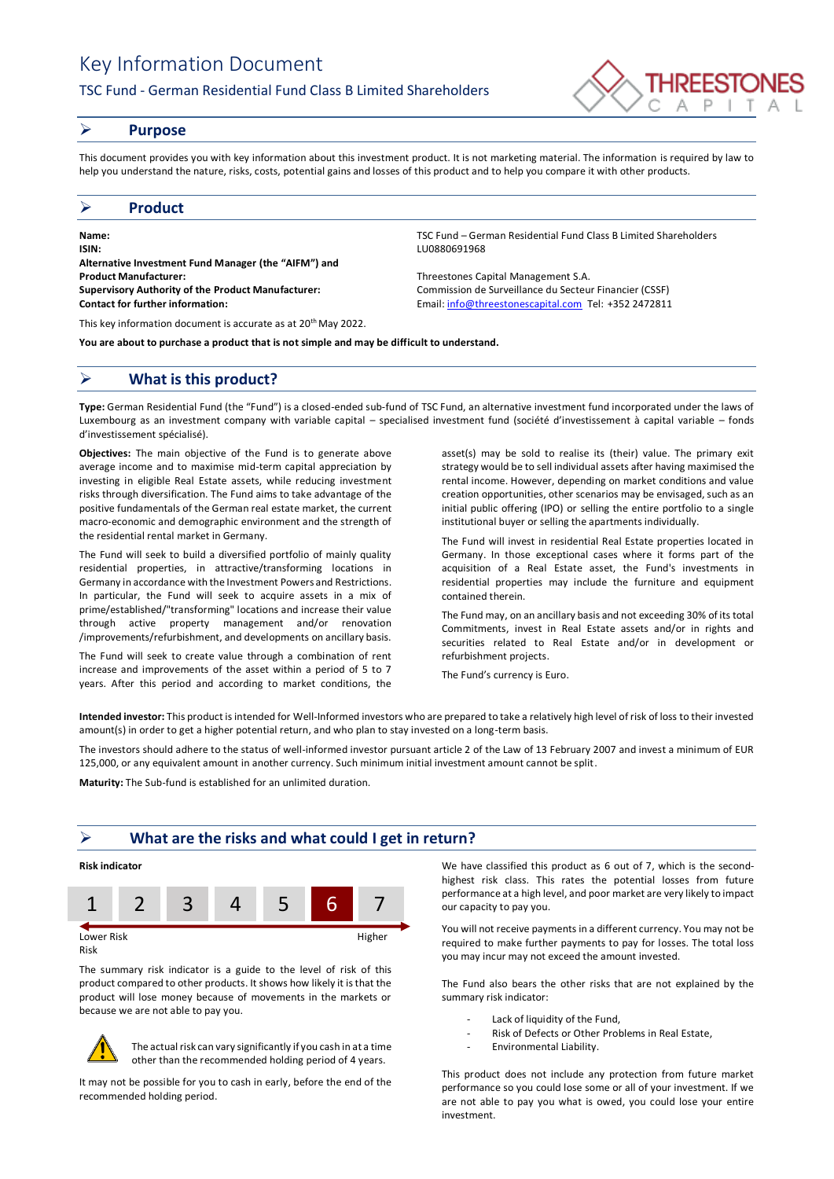# Key Information Document

## TSC Fund - German Residential Fund Class B Limited Shareholders



## ➢ **Purpose**

This document provides you with key information about this investment product. It is not marketing material. The information is required by law to help you understand the nature, risks, costs, potential gains and losses of this product and to help you compare it with other products.

### ➢ **Product**

**Name:** TSC Fund – German Residential Fund Class B Limited Shareholders **ISIN:** LU0880691968 **Alternative Investment Fund Manager (the "AIFM") and Product Manufacturer:** Threestones Capital Management S.A. **Supervisory Authority of the Product Manufacturer:** Commission de Surveillance du Secteur Financier (CSSF) **Contact for further information:** Email[: info@threestonescapital.com](mailto:info@threestonescapital.com) Tel: +352 2472811

This key information document is accurate as at 20th May 2022.

**You are about to purchase a product that is not simple and may be difficult to understand.**

# ➢ **What is this product?**

**Type:** German Residential Fund (the "Fund") is a closed-ended sub-fund of TSC Fund, an alternative investment fund incorporated under the laws of Luxembourg as an investment company with variable capital – specialised investment fund (société d'investissement à capital variable – fonds d'investissement spécialisé).

**Objectives:** The main objective of the Fund is to generate above average income and to maximise mid-term capital appreciation by investing in eligible Real Estate assets, while reducing investment risks through diversification. The Fund aims to take advantage of the positive fundamentals of the German real estate market, the current macro-economic and demographic environment and the strength of the residential rental market in Germany.

The Fund will seek to build a diversified portfolio of mainly quality residential properties, in attractive/transforming locations in Germany in accordance with the Investment Powers and Restrictions. In particular, the Fund will seek to acquire assets in a mix of prime/established/"transforming" locations and increase their value through active property management and/or renovation /improvements/refurbishment, and developments on ancillary basis.

The Fund will seek to create value through a combination of rent increase and improvements of the asset within a period of 5 to 7 years. After this period and according to market conditions, the

asset(s) may be sold to realise its (their) value. The primary exit strategy would be to sell individual assets after having maximised the rental income. However, depending on market conditions and value creation opportunities, other scenarios may be envisaged, such as an initial public offering (IPO) or selling the entire portfolio to a single

The Fund will invest in residential Real Estate properties located in Germany. In those exceptional cases where it forms part of the acquisition of a Real Estate asset, the Fund's investments in residential properties may include the furniture and equipment contained therein.

institutional buyer or selling the apartments individually.

The Fund may, on an ancillary basis and not exceeding 30% of its total Commitments, invest in Real Estate assets and/or in rights and securities related to Real Estate and/or in development or refurbishment projects.

The Fund's currency is Euro.

**Intended investor:** This product is intended for Well-Informed investors who are prepared to take a relatively high level of risk of loss to their invested amount(s) in order to get a higher potential return, and who plan to stay invested on a long-term basis.

The investors should adhere to the status of well-informed investor pursuant article 2 of the Law of 13 February 2007 and invest a minimum of EUR 125,000, or any equivalent amount in another currency. Such minimum initial investment amount cannot be split.

**Maturity:** The Sub-fund is established for an unlimited duration.

## ➢ **What are the risks and what could I get in return?**

## **Risk indicator**



Risk

The summary risk indicator is a guide to the level of risk of this product compared to other products. It shows how likely it is that the product will lose money because of movements in the markets or because we are not able to pay you.



The actual risk can vary significantly if you cash in at a time other than the recommended holding period of 4 years.

It may not be possible for you to cash in early, before the end of the recommended holding period.

We have classified this product as 6 out of 7, which is the secondhighest risk class. This rates the potential losses from future performance at a high level, and poor market are very likely to impact our capacity to pay you.

You will not receive payments in a different currency. You may not be required to make further payments to pay for losses. The total loss you may incur may not exceed the amount invested.

The Fund also bears the other risks that are not explained by the summary risk indicator:

- Lack of liquidity of the Fund,
- Risk of Defects or Other Problems in Real Estate,
- Environmental Liability.

This product does not include any protection from future market performance so you could lose some or all of your investment. If we are not able to pay you what is owed, you could lose your entire investment.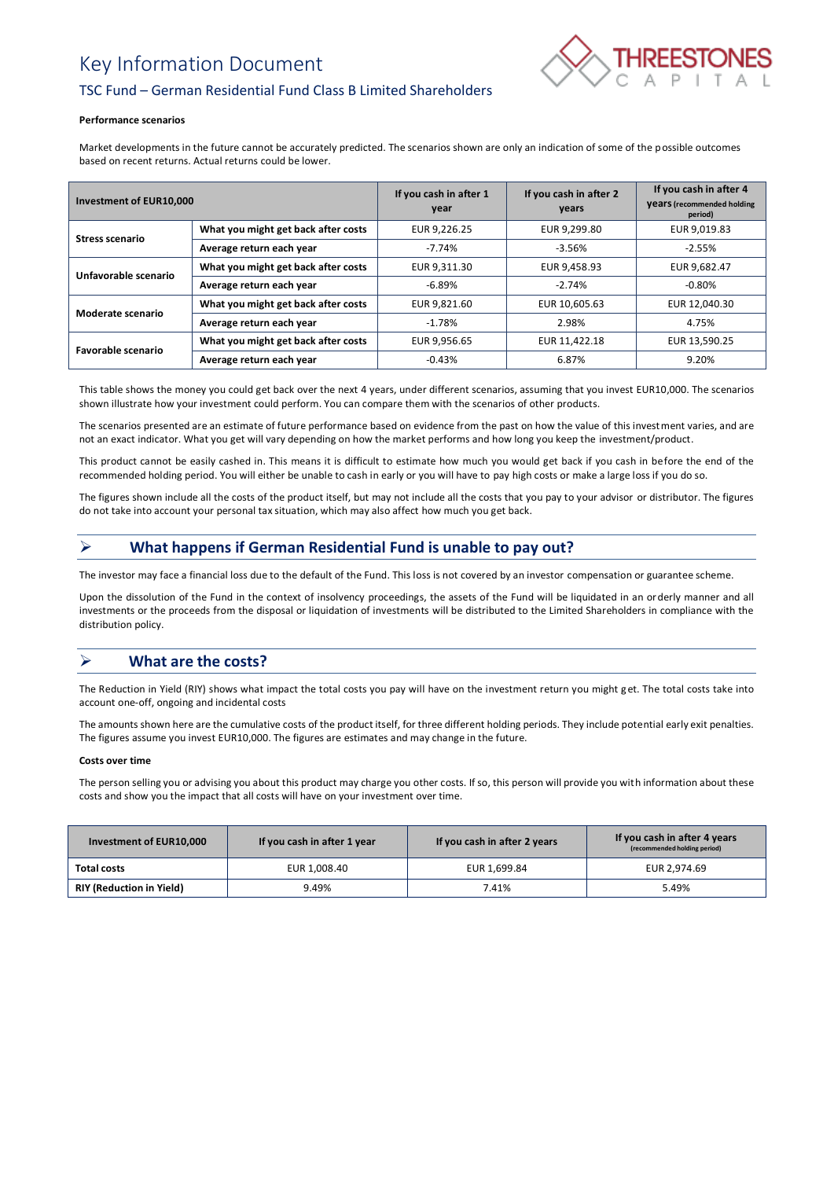# Key Information Document



# TSC Fund – German Residential Fund Class B Limited Shareholders

#### **Performance scenarios**

Market developments in the future cannot be accurately predicted. The scenarios shown are only an indication of some of the possible outcomes based on recent returns. Actual returns could be lower.

| Investment of EUR10,000 |                                     | If you cash in after 1<br>year | If you cash in after 2<br>years | If you cash in after 4<br><b>Vears</b> (recommended holding<br>period) |
|-------------------------|-------------------------------------|--------------------------------|---------------------------------|------------------------------------------------------------------------|
| <b>Stress scenario</b>  | What you might get back after costs | EUR 9,226.25                   | EUR 9.299.80                    | EUR 9,019.83                                                           |
|                         | Average return each year            | $-7.74%$                       | $-3.56%$                        | $-2.55%$                                                               |
| Unfavorable scenario    | What you might get back after costs | EUR 9,311.30                   | EUR 9,458.93                    | EUR 9,682.47                                                           |
|                         | Average return each year            | $-6.89%$                       | $-2.74%$                        | $-0.80\%$                                                              |
| Moderate scenario       | What you might get back after costs | EUR 9.821.60                   | EUR 10,605.63                   | EUR 12,040.30                                                          |
|                         | Average return each year            | $-1.78%$                       | 2.98%                           | 4.75%                                                                  |
| Favorable scenario      | What you might get back after costs | EUR 9,956.65                   | EUR 11,422.18                   | EUR 13,590.25                                                          |
|                         | Average return each year            | $-0.43%$                       | 6.87%                           | 9.20%                                                                  |

This table shows the money you could get back over the next 4 years, under different scenarios, assuming that you invest EUR10,000. The scenarios shown illustrate how your investment could perform. You can compare them with the scenarios of other products.

The scenarios presented are an estimate of future performance based on evidence from the past on how the value of this investment varies, and are not an exact indicator. What you get will vary depending on how the market performs and how long you keep the investment/product.

This product cannot be easily cashed in. This means it is difficult to estimate how much you would get back if you cash in before the end of the recommended holding period. You will either be unable to cash in early or you will have to pay high costs or make a large loss if you do so.

The figures shown include all the costs of the product itself, but may not include all the costs that you pay to your advisor or distributor. The figures do not take into account your personal tax situation, which may also affect how much you get back.

# ➢ **What happens if German Residential Fund is unable to pay out?**

The investor may face a financial loss due to the default of the Fund. This loss is not covered by an investor compensation or guarantee scheme.

Upon the dissolution of the Fund in the context of insolvency proceedings, the assets of the Fund will be liquidated in an orderly manner and all investments or the proceeds from the disposal or liquidation of investments will be distributed to the Limited Shareholders in compliance with the distribution policy.

# ➢ **What are the costs?**

The Reduction in Yield (RIY) shows what impact the total costs you pay will have on the investment return you might get. The total costs take into account one-off, ongoing and incidental costs

The amounts shown here are the cumulative costs of the product itself, for three different holding periods. They include potential early exit penalties. The figures assume you invest EUR10,000. The figures are estimates and may change in the future.

#### **Costs over time**

The person selling you or advising you about this product may charge you other costs. If so, this person will provide you with information about these costs and show you the impact that all costs will have on your investment over time.

| Investment of EUR10,000         | If you cash in after 1 year | If you cash in after 2 years | If you cash in after 4 years<br>(recommended holding period) |
|---------------------------------|-----------------------------|------------------------------|--------------------------------------------------------------|
| Total costs                     | EUR 1,008.40                | EUR 1,699.84                 | EUR 2.974.69                                                 |
| <b>RIY (Reduction in Yield)</b> | 9.49%                       | 7.41%                        | 5.49%                                                        |